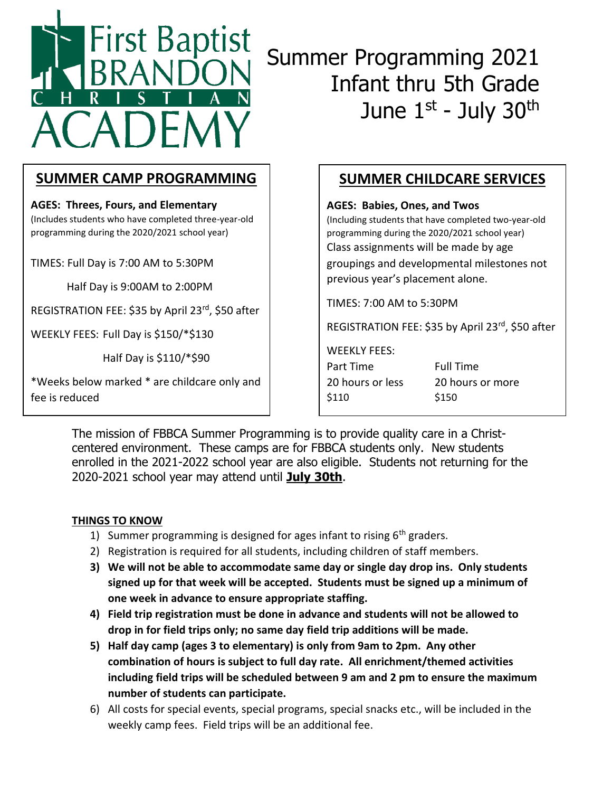

# Summer Programming 2021 Infant thru 5th Grade June 1<sup>st</sup> - July 30<sup>th</sup>

# **SUMMER CAMP PROGRAMMING**

**AGES: Threes, Fours, and Elementary** (Includes students who have completed three-year-old programming during the 2020/2021 school year)

TIMES: Full Day is 7:00 AM to 5:30PM

Half Day is 9:00AM to 2:00PM

REGISTRATION FEE: \$35 by April 23rd, \$50 after

WEEKLY FEES: Full Day is \$150/\*\$130

Half Day is \$110/\*\$90

\*Weeks below marked \* are childcare only and fee is reduced

# **SUMMER CHILDCARE SERVICES**

**AGES: Babies, Ones, and Twos** 

(Including students that have completed two-year-old programming during the 2020/2021 school year) Class assignments will be made by age groupings and developmental milestones not previous year's placement alone.

TIMES: 7:00 AM to 5:30PM

REGISTRATION FEE: \$35 by April 23rd, \$50 after

#### WEEKLY FEES:

Part Time Full Time 20 hours or less 20 hours or more \$110 \$150

The mission of FBBCA Summer Programming is to provide quality care in a Christcentered environment. These camps are for FBBCA students only. New students enrolled in the 2021-2022 school year are also eligible. Students not returning for the 2020-2021 school year may attend until **July 30th**.

## **THINGS TO KNOW**

- 1) Summer programming is designed for ages infant to rising  $6<sup>th</sup>$  graders.
- 2) Registration is required for all students, including children of staff members.
- **3) We will not be able to accommodate same day or single day drop ins. Only students signed up for that week will be accepted. Students must be signed up a minimum of one week in advance to ensure appropriate staffing.**
- **4) Field trip registration must be done in advance and students will not be allowed to drop in for field trips only; no same day field trip additions will be made.**
- **5) Half day camp (ages 3 to elementary) is only from 9am to 2pm. Any other combination of hours is subject to full day rate. All enrichment/themed activities including field trips will be scheduled between 9 am and 2 pm to ensure the maximum number of students can participate.**
- 6) All costs for special events, special programs, special snacks etc., will be included in the weekly camp fees. Field trips will be an additional fee.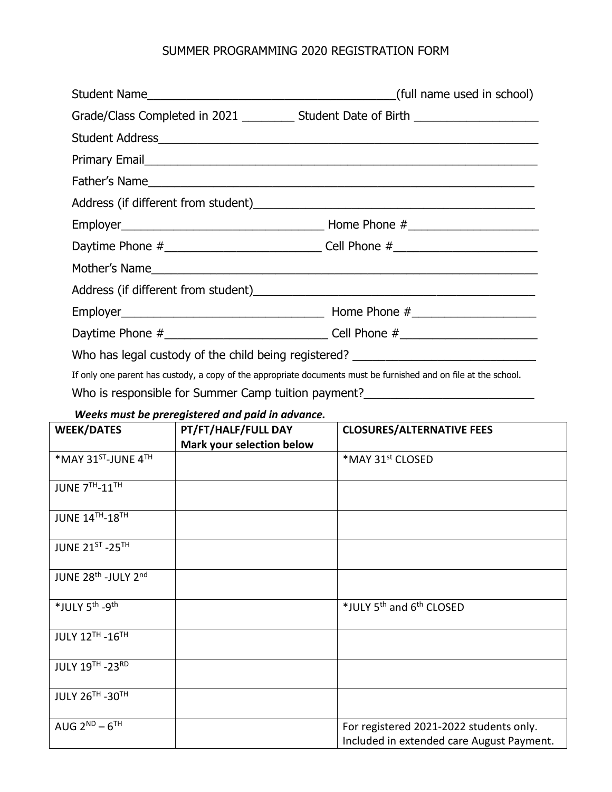## SUMMER PROGRAMMING 2020 REGISTRATION FORM

| Grade/Class Completed in 2021 ____________ Student Date of Birth ________________ |
|-----------------------------------------------------------------------------------|
|                                                                                   |
|                                                                                   |
|                                                                                   |
|                                                                                   |
|                                                                                   |
| Daytime Phone #___________________________________Cell Phone #__________________  |
|                                                                                   |
|                                                                                   |
|                                                                                   |
| Daytime Phone #________________________________Cell Phone #_____________________  |
| Who has legal custody of the child being registered? ___________________________  |

If only one parent has custody, a copy of the appropriate documents must be furnished and on file at the school.

Who is responsible for Summer Camp tuition payment?\_\_\_\_\_\_\_\_\_\_\_\_\_\_\_\_\_\_\_\_\_\_\_\_\_\_\_\_\_

## *Weeks must be preregistered and paid in advance.*

| <b>WEEK/DATES</b>                           | PT/FT/HALF/FULL DAY       | <b>CLOSURES/ALTERNATIVE FEES</b>                                                     |
|---------------------------------------------|---------------------------|--------------------------------------------------------------------------------------|
|                                             | Mark your selection below |                                                                                      |
| *MAY 31ST-JUNE 4TH                          |                           | *MAY 31st CLOSED                                                                     |
| JUNE 7TH-11TH                               |                           |                                                                                      |
| <b>JUNE 14TH-18TH</b>                       |                           |                                                                                      |
| JUNE 21ST - 25TH                            |                           |                                                                                      |
| JUNE 28 <sup>th</sup> -JULY 2 <sup>nd</sup> |                           |                                                                                      |
| *JULY 5 <sup>th</sup> -9 <sup>th</sup>      |                           | *JULY 5 <sup>th</sup> and 6 <sup>th</sup> CLOSED                                     |
| <b>JULY 12TH - 16TH</b>                     |                           |                                                                                      |
| <b>JULY 19TH - 23RD</b>                     |                           |                                                                                      |
| <b>JULY 26TH - 30TH</b>                     |                           |                                                                                      |
| AUG $2^{ND} - 6^{TH}$                       |                           | For registered 2021-2022 students only.<br>Included in extended care August Payment. |